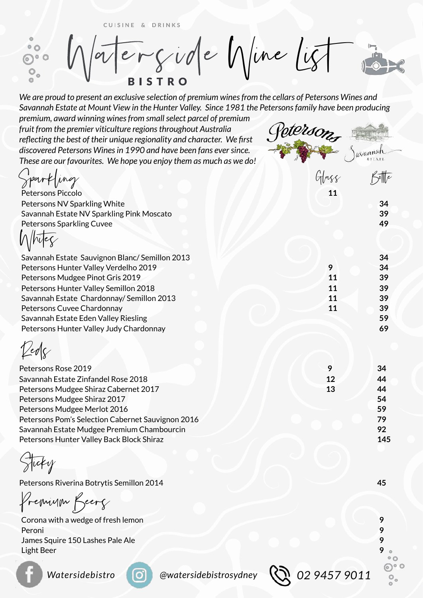CUISINE & DRINKS

Ergide Nine Lig  $^{\circ}$   $^{\circ}$ **BISTRO** 

*We are proud to present an exclusive selection of premium wines from the cellars of Petersons Wines and Savannah Estate at Mount View in the Hunter Valley. Since 1981 the Petersons family have been producing* 

*premium, award winning wines from small select parcel of premium fruit from the premier viticulture regions throughout Australia reflecting the best of their unique regionality and character. We first discovered Petersons Wines in 1990 and have been fans ever since. These are our favourites. We hope you enjoy them as much as we do!*

| These are our favourites. We hope you enjoy them as much as we do! |       |     |
|--------------------------------------------------------------------|-------|-----|
| Spartling                                                          | Glass |     |
| Petersons Piccolo                                                  | 11    |     |
| Petersons NV Sparkling White                                       |       | 34  |
| Savannah Estate NV Sparkling Pink Moscato                          |       | 39  |
| Petersons Sparkling Cuvee                                          |       | 49  |
|                                                                    |       |     |
| Savannah Estate Sauvignon Blanc/Semillon 2013                      |       | 34  |
| Petersons Hunter Valley Verdelho 2019                              | 9     | 34  |
| Petersons Mudgee Pinot Gris 2019                                   | 11    | 39  |
| Petersons Hunter Valley Semillon 2018                              | 11    | 39  |
| Savannah Estate Chardonnay/ Semillon 2013                          | 11    | 39  |
| Petersons Cuvee Chardonnay                                         | 11    | 39  |
| Savannah Estate Eden Valley Riesling                               |       | 59  |
| Petersons Hunter Valley Judy Chardonnay                            |       | 69  |
|                                                                    |       |     |
| Petersons Rose 2019                                                | 9     | 34  |
| Savannah Estate Zinfandel Rose 2018                                | 12    | 44  |
| Petersons Mudgee Shiraz Cabernet 2017                              | 13    | 44  |
| Petersons Mudgee Shiraz 2017                                       |       | 54  |
| Petersons Mudgee Merlot 2016                                       |       | 59  |
| Petersons Pom's Selection Cabernet Sauvignon 2016                  |       | 79  |
| Savannah Estate Mudgee Premium Chambourcin                         |       | 92  |
| Petersons Hunter Valley Back Block Shiraz                          |       | 145 |
| ⌒                                                                  |       |     |

Sticky

Petersons Riverina Botrytis Semillon 2014 **45**

Premium Beers

Corona with a wedge of fresh lemon **9** Peroni **9** James Squire 150 Lashes Pale Ale **9**  Light Beer **9** 

*@watersidebistrosydney 02 9457 9011*

Goterso

Javannah

⊙∘ ၀  $\overline{\mathsf{O}}_{\mathsf{o}}$